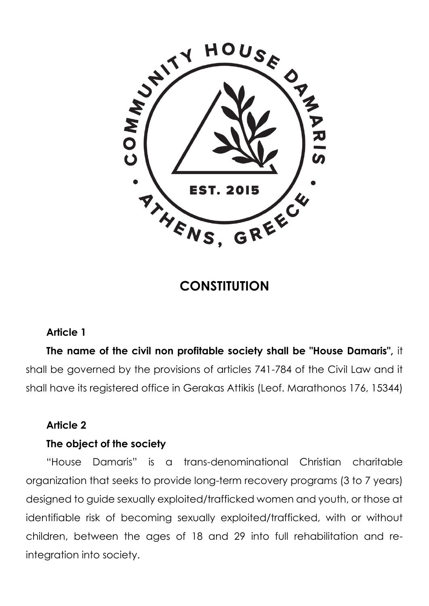

# **CONSTITUTION**

### **Article 1**

**The name of the civil non profitable society shall be "House Damaris",** it shall be governed by the provisions of articles 741-784 of the Civil Law and it shall have its registered office in Gerakas Attikis (Leof. Marathonos 176, 15344)

### **Article 2**

### **The object of the society**

"House Damaris" is a trans-denominational Christian charitable organization that seeks to provide long-term recovery programs (3 to 7 years) designed to guide sexually exploited/trafficked women and youth, or those at identifiable risk of becoming sexually exploited/trafficked, with or without children, between the ages of 18 and 29 into full rehabilitation and reintegration into society.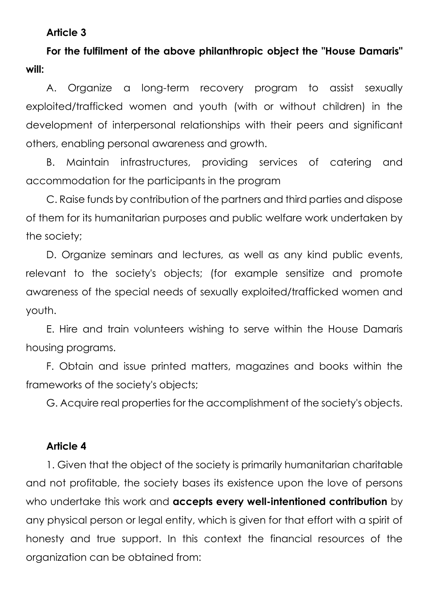#### **Article 3**

**For the fulfilment of the above philanthropic object the "House Damaris" will:** 

Α. Organize a long-term recovery program to assist sexually exploited/trafficked women and youth (with or without children) in the development of interpersonal relationships with their peers and significant others, enabling personal awareness and growth.

Β. Maintain infrastructures, providing services of catering and accommodation for the participants in the program

C. Raise funds by contribution of the partners and third parties and dispose of them for its humanitarian purposes and public welfare work undertaken by the society;

D. Organize seminars and lectures, as well as any kind public events, relevant to the society's objects; (for example sensitize and promote awareness of the special needs of sexually exploited/trafficked women and youth.

E. Hire and train volunteers wishing to serve within the House Damaris housing programs.

F. Obtain and issue printed matters, magazines and books within the frameworks of the society's objects;

G. Acquire real properties for the accomplishment of the society's objects.

#### **Article 4**

1. Given that the object of the society is primarily humanitarian charitable and not profitable, the society bases its existence upon the love of persons who undertake this work and **accepts every well-intentioned contribution** by any physical person or legal entity, which is given for that effort with a spirit of honesty and true support. In this context the financial resources of the organization can be obtained from: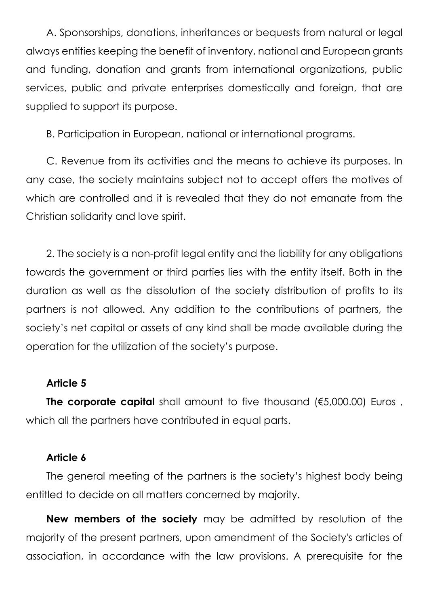A. Sponsorships, donations, inheritances or bequests from natural or legal always entities keeping the benefit of inventory, national and European grants and funding, donation and grants from international organizations, public services, public and private enterprises domestically and foreign, that are supplied to support its purpose.

B. Participation in European, national or international programs.

C. Revenue from its activities and the means to achieve its purposes. In any case, the society maintains subject not to accept offers the motives of which are controlled and it is revealed that they do not emanate from the Christian solidarity and love spirit.

2. The society is a non-profit legal entity and the liability for any obligations towards the government or third parties lies with the entity itself. Both in the duration as well as the dissolution of the society distribution of profits to its partners is not allowed. Any addition to the contributions of partners, the society's net capital or assets of any kind shall be made available during the operation for the utilization of the society's purpose.

### **Article 5**

**The corporate capital** shall amount to five thousand (€5,000.00) Euros , which all the partners have contributed in equal parts.

### **Article 6**

The general meeting of the partners is the society's highest body being entitled to decide on all matters concerned by majority.

**New members of the society** may be admitted by resolution of the majority of the present partners, upon amendment of the Society's articles of association, in accordance with the law provisions. A prerequisite for the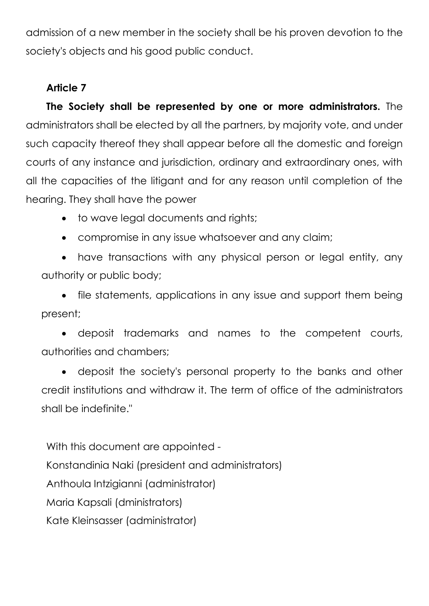admission of a new member in the society shall be his proven devotion to the society's objects and his good public conduct.

# **Article 7**

**The Society shall be represented by one or more administrators.** The administrators shall be elected by all the partners, by majority vote, and under such capacity thereof they shall appear before all the domestic and foreign courts of any instance and jurisdiction, ordinary and extraordinary ones, with all the capacities of the litigant and for any reason until completion of the hearing. They shall have the power

- to wave legal documents and rights;
- compromise in any issue whatsoever and any claim;

• have transactions with any physical person or legal entity, any authority or public body;

• file statements, applications in any issue and support them being present;

• deposit trademarks and names to the competent courts, authorities and chambers;

• deposit the society's personal property to the banks and other credit institutions and withdraw it. The term of office of the administrators shall be indefinite."

With this document are appointed - Konstandinia Naki (president and administrators) Anthoula Intzigianni (administrator) Maria Kapsali (dministrators) Kate Kleinsasser (administrator)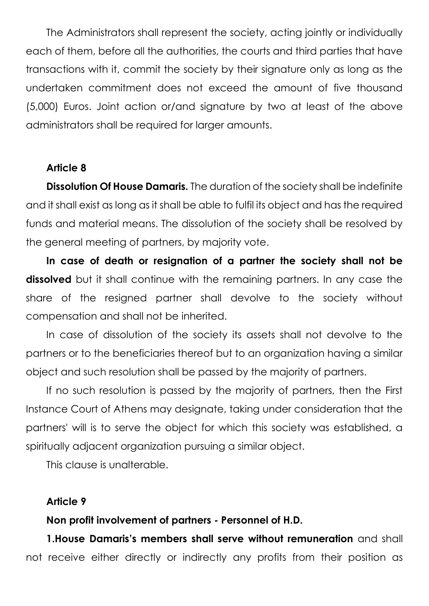The Administrators shall represent the society, acting jointly or individually each of them, before all the authorities, the courts and third parties that have transactions with it, commit the society by their signature only as long as the undertaken commitment does not exceed the amount of five thousand (5,000) Euros. Joint action or/and signature by two at least of the above administrators shall be required for larger amounts.

#### **Article 8**

**Dissolution Of House Damaris.** The duration of the society shall be indefinite and it shall exist as long as it shall be able to fulfil its object and has the required funds and material means. The dissolution of the society shall be resolved by the general meeting of partners, by majority vote.

**In case of death or resignation of a partner the society shall not be dissolved** but it shall continue with the remaining partners. In any case the share of the resigned partner shall devolve to the society without compensation and shall not be inherited.

In case of dissolution of the society its assets shall not devolve to the partners or to the beneficiaries thereof but to an organization having a similar object and such resolution shall be passed by the majority of partners.

If no such resolution is passed by the majority of partners, then the First Instance Court of Athens may designate, taking under consideration that the partners' will is to serve the object for which this society was established, a spiritually adjacent organization pursuing a similar object.

This clause is unalterable.

#### **Article 9**

#### **Non profit involvement of partners - Personnel of H.D.**

**1.House Damaris's members shall serve without remuneration** and shall not receive either directly or indirectly any profits from their position as